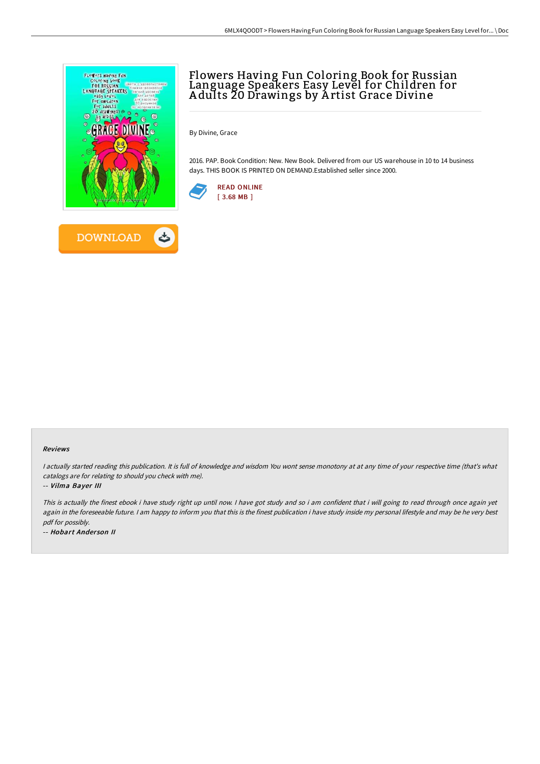

# Flowers Having Fun Coloring Book for Russian Language Speakers Easy Level for Children for A dults 20 Drawings by A rtist Grace Divine

By Divine, Grace

2016. PAP. Book Condition: New. New Book. Delivered from our US warehouse in 10 to 14 business days. THIS BOOK IS PRINTED ON DEMAND.Established seller since 2000.



#### Reviews

I actually started reading this publication. It is full of knowledge and wisdom You wont sense monotony at at any time of your respective time (that's what catalogs are for relating to should you check with me).

-- Vilma Bayer III

This is actually the finest ebook i have study right up until now. I have got study and so i am confident that i will going to read through once again yet again in the foreseeable future. I am happy to inform you that this is the finest publication i have study inside my personal lifestyle and may be he very best pdf for possibly.

-- Hobart Ander son II